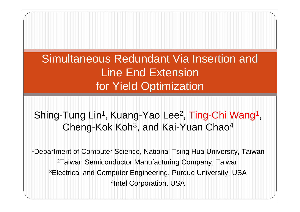#### Simultaneous Redundant Via Insertion and Line End Extension for Yield Optimization

#### Shing-Tung Lin<sup>1</sup>, Kuang-Yao Lee<sup>2</sup>, Ting-Chi Wang<sup>1</sup>, Cheng-Kok Koh<sup>3</sup>, and Kai-Yuan Chao<sup>4</sup>

1Department of Computer Science, National Tsing Hua University, Taiwan 2Taiwan Semiconductor Manufacturing Company, Taiwan 3Electrical and Computer Engineering, Purdue University, USA 4Intel Corporation, USA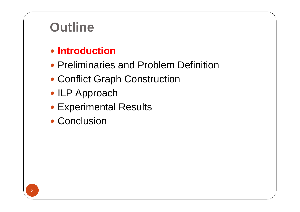## **Outline**

#### **• Introduction**

- Preliminaries and Problem Definition
- Conflict Graph Construction
- ILP Approach
- Experimental Results
- Conclusion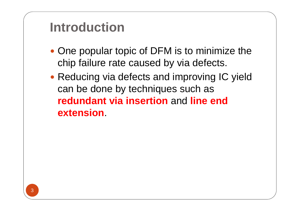## **Introduction**

- One popular topic of DFM is to minimize the chip failure rate caused by via defects.
- Reducing via defects and improving IC yield can be done by techniques such as **redundant via insertion** and **line end extension**.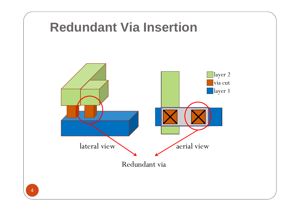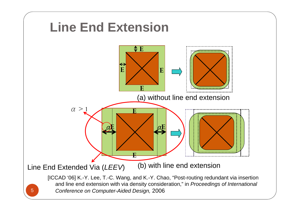

5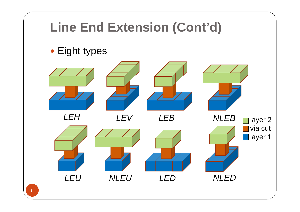# **Line End Extension (Cont'd)**

• Eight types

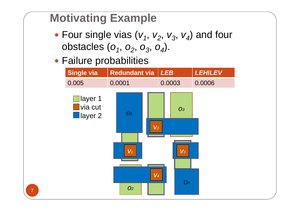#### **Motivating Example**

- Four single vias  $(v_1, v_2, v_3, v_4)$  and four obstacles (*o<sub>1</sub>, o<sub>2</sub>, o<sub>3</sub>, o<sub>4</sub>).*
- Failure probabilities

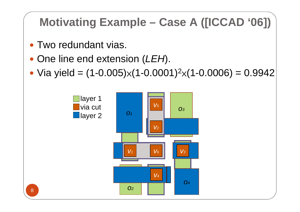#### **Motivating Example – Case A ([ICCAD '06])**

- Two redundant vias.
- One line end extension (*LEH*).
- Via yield =  $(1 0.005) \times (1 0.0001)^2$  $\mathsf{\times}(1\text{-}0.0006)=0.9942$

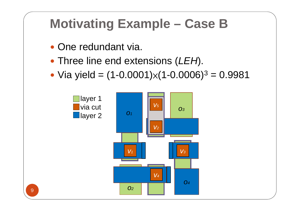## **Motivating Example – Case B**

- One redundant via.
- Three line end extensions (*LEH*).
- Via yield =  $(1 0.0001) \times (1 0.0006)^3 = 0.9981$

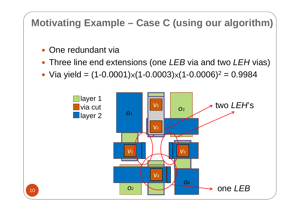#### **Motivating Example – Case C (using our algorithm)**

- One redundant via
- y Three line end extensions (one *LEB* via and two *LEH* vias)
- Via yield =  $(1 0.0001) \times (1 0.0003) \times (1 0.0006)^2 = 0.9984$

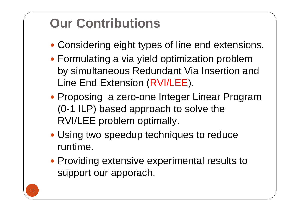## **Our Contributions**

- Considering eight types of line end extensions.
- Formulating a via yield optimization problem by simultaneous Redundant Via Insertion and Line End Extension (RVI/LEE).
- Proposing a zero-one Integer Linear Program (0-1 ILP) based approach to solve the RVI/LEE problem optimally.
- Using two speedup techniques to reduce runtime.
- Providing extensive experimental results to support our apporach.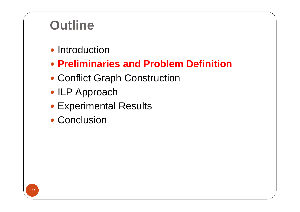## **Outline**

- Introduction
- y **Preliminaries and Problem Definition**
- Conflict Graph Construction
- ILP Approach
- Experimental Results
- Conclusion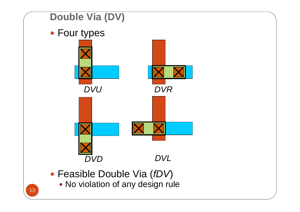

- y Feasible Double Via (*fDV*)
- **No violation of any design rule** 13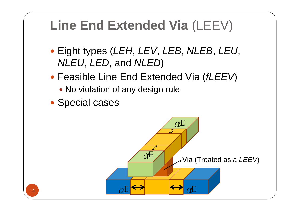## **Line End Extended Via** (LEEV)

- y Eight types (*LEH*, *LEV*, *LEB*, *NLEB*, *LEU*, *NLEU*, *LED*, and *NLED*)
- y Feasible Line End Extended Via (*fLEEV*)
	- No violation of any design rule
- Special cases

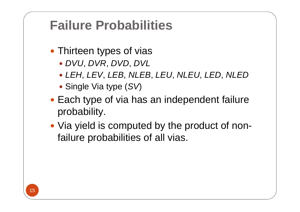## **Failure Probabilities**

- Thirteen types of vias
	- y *DVU*, *DVR*, *DVD*, *DVL*
	- y *LEH*, *LEV*, *LEB*, *NLEB*, *LEU*, *NLEU*, *LED*, *NLED*
	- Single Via type (SV)
- Each type of via has an independent failure probability.
- Via yield is computed by the product of nonfailure probabilities of all vias.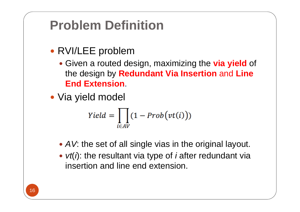## **Problem Definition**

- RVI/LEE problem
	- **Given a routed design, maximizing the via yield of** the design by **Redundant Via Insertion** and **Line End Extension**.
- Via yield model

$$
Yield = \prod_{i \in AV} (1 - Prob(vt(i)))
$$

- AV: the set of all single vias in the original layout.
- *vt(i)*: the resultant via type of *i* after redundant via insertion and line end extension.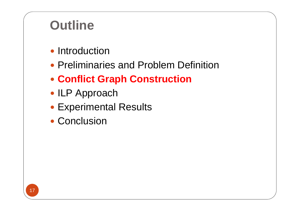## **Outline**

- Introduction
- Preliminaries and Problem Definition
- **Conflict Graph Construction**
- ILP Approach
- Experimental Results
- Conclusion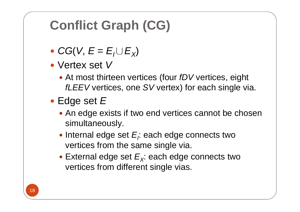# **Conflict Graph (CG)**

- $CG(V, E = E_1 \cup E_X)$
- Vertex set V
	- At most thirteen vertices (four *fDV* vertices, eight *fLEEV* vertices, one *SV* vertex) for each single via.
- Edge set *E* 
	- An edge exists if two end vertices cannot be chosen simultaneously.
	- Internal edge set E<sub>i</sub>: each edge connects two vertices from the same single via.
	- $\bullet$  External edge set  $E_{\chi}$ : each edge connects two vertices from different single vias.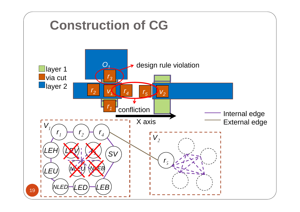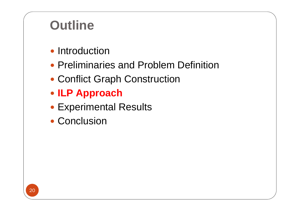## **Outline**

- Introduction
- Preliminaries and Problem Definition
- Conflict Graph Construction
- y **ILP Approach**
- Experimental Results
- Conclusion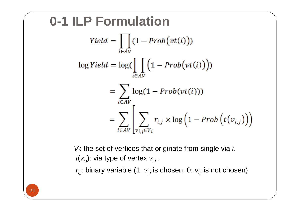**0-1 ILP Formulation** Yield =  $\Big| \Big(1 - Prob(vt(i)))$  $i\in AV$  $\log Yield = \log(\prod (1 - Prob(vt(i)))$ i∈AV  $=$   $\sum$  log(1 – Prob(vt(i)))  $i \in AV$  $= \sum_{i \in AV} \left| \sum_{v_i, v_i \in V_i} r_{i,j} \times \log \left( 1 - Prob\left(t(v_{i,j})\right) \right) \right|$ 

> *Vi*: the set of vertices that originate from single via *i*. *t*( *vi,j*): via type of vertex *vi,j* .

*ri,j*: binary variable (1: *vi,j* is chosen; 0: *vi,j* is not chosen)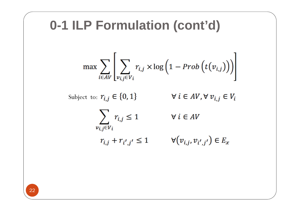#### **0-1 ILP Formulation (cont'd)**

$$
\max \sum_{i \in AV} \left[ \sum_{v_{i,j} \in V_i} r_{i,j} \times \log \left( 1 - Prob\left(t(v_{i,j})\right)\right) \right]
$$

Subject to:  $r_{i,j} \in \{0, 1\}$ 

 $\forall i \in AV, \forall v_{i,j} \in V_i$ 

 $\sum_{i,j} r_{i,j} \leq 1$  $v_{i,i}$  $\in V_i$ 

 $\forall i \in AV$ 

 $r_{i,j} + r_{i',j'} \leq 1$ 

 $\forall (v_{i,j}, v_{i',j'}) \in E_x$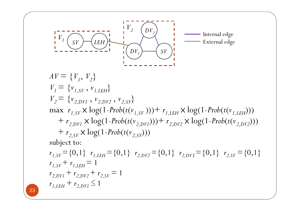

 $AV = \{V_1, V_2\}$  $V_1 = \{v_{1,SV}, v_{1,LEH}\}$  $V_2 = \{v_{2,DV1}, v_{2,DV2}, v_{2,SV}\}$  $\max$   $r_{1,SV} \times \log(1 - Prob(t(v_{1,SV})) + r_{1,LEH} \times \log(1 - Prob(t(v_{1,LEH})))$ +  $r_{2,DV1} \times \log(1 - Prob(t(v_{2,DV1}))) + r_{2,DV2} \times \log(1 - Prob(t(v_{2,DV2})))$  $+r_{2,SV} \times \log(1 - Prob(t(v_{2,SV}))$ 

subject to:

$$
r_{1,SV} = \{0,1\} \quad r_{1,LEH} = \{0,1\} \quad r_{2,DV2} = \{0,1\} \quad r_{2,DV3} = \{0,1\} \quad r_{2,SV} = \{0,1\}
$$
\n
$$
r_{1,SV} + r_{1,LEH} = 1
$$
\n
$$
r_{2,DV1} + r_{2,DV2} + r_{2,SV} = 1
$$
\n
$$
r_{1,LEH} + r_{2,DV1} \le 1
$$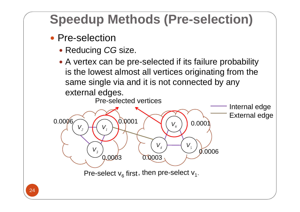# **Speedup Methods (Pre-selection)**

#### • Pre-selection

- y Reducing *CG* size.
- A vertex can be pre-selected if its failure probability is the lowest almost all vertices originating from the same single via and it is not connected by any external edges.



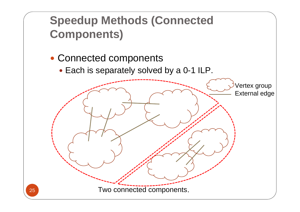### **Speedup Methods (Connected Components)**

- Connected components
	- Each is separately solved by a 0-1 ILP.

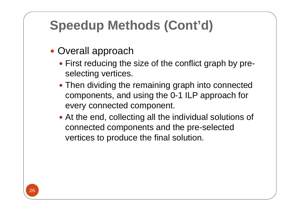# **Speedup Methods (Cont'd)**

- Overall approach
	- First reducing the size of the conflict graph by preselecting vertices.
	- Then dividing the remaining graph into connected components, and using the 0-1 ILP approach for every connected component.
	- At the end, collecting all the individual solutions of connected components and the pre-selected vertices to produce the final solution.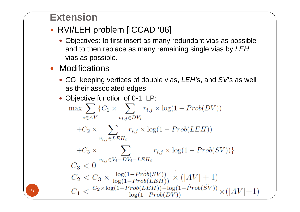#### **Extension**

- RVI/LEH problem [ICCAD '06]
	- Objectives: to first insert as many redundant vias as possible and to then replace as many remaining single vias by *LEH* vias as possible.
- Modifications
	- CG: keeping vertices of double vias, *LEH*'s, and SV's as well as their associated edges.
	- Objective function of 0-1 ILP:

$$
\max \sum_{i \in AV} \{C_1 \times \sum_{v_{i,j} \in DV_i} r_{i,j} \times \log(1 - Prob(DV))
$$
  
+
$$
C_2 \times \sum_{v_{i,j} \in LEH_i} r_{i,j} \times \log(1 - Prob(LEH))
$$
  
+
$$
C_3 \times \sum_{v_{i,j} \in V_i - DV_i - LEH_i} r_{i,j} \times \log(1 - Prob(SV)) \}
$$
  

$$
C_3 < 0
$$
  

$$
C_2 < C_3 \times \frac{\log(1 - Prob(SV))}{\log(1 - Prob(LEH))} \times (|AV| + 1)
$$
  

$$
C_1 < \frac{C_2 \times \log(1 - Prob(LEH)) - \log(1 - Prob(SV))}{\log(1 - Prob(DV))} \times (|AV| + 1)
$$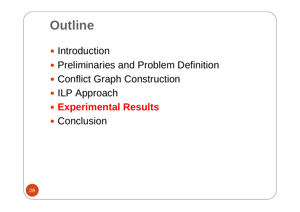## **Outline**

- Introduction
- Preliminaries and Problem Definition
- Conflict Graph Construction
- ILP Approach
- y **Experimental Results**
- Conclusion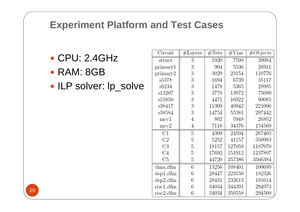#### **Experiment Platform and Test Cases**

- $\bullet$  CPU: 2.4GHz
- RAM: 8GB
- ILP solver: lp\_solve

| Circuit            | $#$ Layers | $\#\text{Nets}$ | $\#\mathrm{V}$ ias | #Objects |
|--------------------|------------|-----------------|--------------------|----------|
| struct             | 3          | 1920            | 7598               | 39984    |
| primary1           | 3          | 904             | 5536               | 26911    |
| primary2           | 3          | 3029            | 23154              | 110776   |
| s5378              | 3          | 1694            | 6739               | 35117    |
| s9234              | 3          | 1478            | 5365               | 28985    |
| s13207             | 3          | 3778            | 13972              | 75080    |
| s15850             | 3          | 4471            | 16922              | 90085    |
| s38417             | 3          | 11309           | 40942              | 221006   |
| s38584             | 3          | 14754           | 55381              | 297442   |
| $_{\mathrm{mcc1}}$ | 4          | 802             | 5948               | 26852    |
| mcc2               | 4          | 7118            | 34376              | 154560   |
| C1                 | 5          | 4309            | 24594              | 267403   |
| C2                 | 5          | 5252            | 41157              | 350983   |
| C3                 | 5          | 18157           | 127059             | 1187970  |
| C <sub>4</sub>     | 5          | 17692           | 151912             | 1237897  |
| C5                 | 5          | 44720           | 357386             | 3566384  |
| $d$ ma_ $d$ fm     | 6          | 13256           | 108401             | 100699   |
| dsp1_dfm           | 6          | 28447           | 223550             | 182326   |
| $dsp2\_dfm$        | 6          | 28431           | 232613             | 191614   |
| risc1_dfm          | 6          | 34034           | 344391             | 294973   |
| risc2_dfm          | 6          | 34034           | 350558             | 294500   |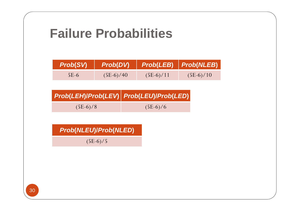### **Failure Probabilities**

| <b>Prob(SV)</b> | Prob(DV)    | $\overline{\hspace{6cm}}$ Prob(LEB) $\overline{\hspace{6cm}}$ Prob(NLEB) |             |
|-----------------|-------------|--------------------------------------------------------------------------|-------------|
| $5E-6$          | $(5E-6)/40$ | $(5E-6)/11$                                                              | $(5E-6)/10$ |

|            | Prob(LEH)/Prob(LEV) Prob(LEU)/Prob(LED) |
|------------|-----------------------------------------|
| $(5E-6)/8$ | $(5E-6)/6$                              |

|  |  |  |  | <b>Prob(NLEU)/Prob(NLED)</b> |
|--|--|--|--|------------------------------|
|--|--|--|--|------------------------------|

 $(5E-6)/5$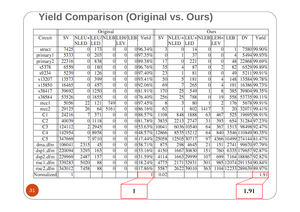#### **Yield Comparison (Original vs. Ours)**

|                       |           |                   |            | Original       |                |     |          | Ours            |                 |                 |                 |                |            |    |                          |
|-----------------------|-----------|-------------------|------------|----------------|----------------|-----|----------|-----------------|-----------------|-----------------|-----------------|----------------|------------|----|--------------------------|
| Circuit               | <b>SV</b> | NLEU+LEU/NLEBLEH/ |            |                |                | LEB | Yield    | <b>SV</b>       | $NLEU+$         |                 | LEU+NLEBLEH+    |                | <b>LEB</b> | DV | Yield                    |
|                       |           | <b>NLED</b>       | <b>LED</b> |                | <b>LEV</b>     |     |          |                 | <b>NLED</b>     | <b>LED</b>      |                 | <b>LEV</b>     |            |    |                          |
| struct                | 7425      | 0                 | 173        | 0              | $\overline{0}$ |     | 096.34%  | 3               | 0               | 14              | 0               | $\overline{0}$ | 1          |    | 7580 99.90%              |
| primaryl              | 5333      | 0                 | 203        | 0              | $\overline{0}$ |     | 097.35%  | $\overline{0}$  |                 | $\overline{37}$ | 0               | $\bf{0}$       | 4          |    | 5494 99.93%              |
| primary2              | 22316     | 0                 | 838        | $\overline{0}$ | $\overline{0}$ |     | 089.38%  | $\overline{17}$ | 0               | 221             | 0               | $\overline{0}$ | 48         |    | 22868 99.69%             |
| s5378                 | 6559      | 0                 | 180        | 0              | $\overline{0}$ |     | 096.76%  | 35              | 4               | 87              | 0               | $\overline{2}$ | 82         |    | 6529 99.89%              |
| s9234                 | 5239      | 0                 | 126        | 0              | $\overline{0}$ |     | 097.40%  | $\overline{23}$ |                 | 81              | 0               | $\overline{0}$ | 49         |    | 5211 99.91%              |
| s13207                | 13573     | 0                 | 399        | 0              | $\bf{0}$       |     | 0 93.41% | 50              | 5               | 181             | 0               | 4              | 148        |    | 13584 99.78%             |
| s15850                | 16465     | 0                 | 457        | 0              | $\overline{0}$ |     | 092.06%  | 69              |                 | 265             | 0               | 4              | 191        |    | 16386 99.73%             |
| s38417                | 39692     | 0                 | 1250       | 0              | $\overline{0}$ |     | 081.91%  | 170             | $\overline{25}$ | 549             |                 | 8              | 385        |    | 39804 99.35%             |
| s38584                | 53526     | 0                 | 1855       | $\overline{0}$ | $\overline{0}$ |     | 0 76.40% | 256             | 25              | 788             | 0               | 19             | 558        |    | 53735 99.11%             |
| mccl                  | 5056      | 22                | 121        | 749            | $\overline{0}$ |     | 097.45%  | 8               | 3               | 80              |                 | $\overline{2}$ | 176        |    | 5678 99.91%              |
| mcc <sub>2</sub>      | 29125     | 26                | 64         | 5161           | $\overline{0}$ |     | 086.16%  | 62              |                 | 802             | 1417            | 3              | 20         |    | 3207199.41%              |
| $\overline{C1}$       | 24216     |                   | 371        | 0              | $\overline{0}$ |     | 088.57%  | 1108            | 848             | 1888            | 63              | 467            | 525        |    | 19695 98.91%             |
| $\overline{C2}$       | 40039     | $\overline{0}$    | 1118       | $\overline{0}$ | $\overline{0}$ |     | 081.78%  | 3835            | 2213            | 2747            | $\overline{31}$ | 393            | 654        |    | 31284 97.23%             |
| $\overline{C3}$       | 124112    | $\overline{2}$    | 2945       | $\overline{0}$ | $\overline{0}$ |     | 053.63%  | 10041           | 6036            | 10540           | 64              | 367            | 1513       |    | 98498 92.47%             |
| $\overline{C4}$       | 142954    | $\overline{0}$    | 8958       | $\overline{0}$ | $\overline{0}$ |     | 0 48.57% | 12866           |                 | 8535 15212      | 64              | 840            |            |    | 3546 110849 90.35%       |
| C <sub>5</sub>        | 347669    | 7                 | 9710       | $\overline{0}$ | $\overline{0}$ |     | 0 17.44% | 25058           |                 | 12505 30717     | 97              | 4366           | 10499      |    | 27414481.47%             |
| dma_dfm               | 106041    | 2315              | 45         | $\overline{0}$ | $\overline{0}$ |     | 0 58.71% | 875             | 298             | 4645            | $\overline{21}$ | 151            | 2741       |    | 99670 97.79%             |
| $dsp1\_dfm$           | 220094    | 3293              | 163        | $\overline{0}$ | $\overline{0}$ |     | 033.16%  | 4150            |                 | 1667 30830      | 151             | 760            |            |    | 6335 179657 92.87%       |
| $dsp2\_dfm$           | 229969    | 2487              | 157        | $\overline{0}$ | $\overline{0}$ |     | 031.59%  | 4114            |                 | 1663 29999      | 107             | 699            |            |    | 7164 188867 92.82%       |
| risc <sub>1_dfm</sub> | 339283    | 5020              | 88         | $\overline{0}$ | $\overline{0}$ |     | 0 18.24% | 4775            |                 | 2171 32931      | 301             |                |            |    | 985 12074 291 154 90.84% |
| risc2_dfm             | 343012    | 7458              | 88         | $\overline{0}$ | $\overline{0}$ |     | 0 17.86% | 5587            |                 | 2622 390 10     | 363             |                |            |    | 1104 12233 289639 89.97% |
| Normalized            |           |                   |            |                |                |     |          | 0.02            |                 |                 |                 |                |            |    | 1.91                     |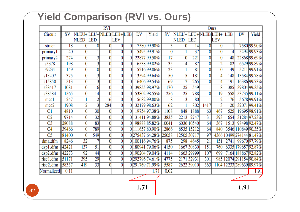#### **Yield Comparison (RVI vs. Ours)**

|                       | <b>RVI</b> |                      |                 |                |                |                |    |                  |                 | Ours              |                 |                 |                |            |    |                          |
|-----------------------|------------|----------------------|-----------------|----------------|----------------|----------------|----|------------------|-----------------|-------------------|-----------------|-----------------|----------------|------------|----|--------------------------|
| Circuit               | SV         | NLEU+LEU+NLEBLEH+LEB |                 |                |                |                | DV | Yield            | SV              | NLEU+LEU+NLEBLEH+ |                 |                 |                | <b>LEB</b> | DV | Yield                    |
|                       |            | <b>NLED</b>          | <b>LED</b>      |                | LEV            |                |    |                  |                 | NLED LED          |                 |                 | LEV            |            |    |                          |
| struct                | 18         | $\overline{0}$       | 0               | 0              | $\overline{0}$ | $\overline{0}$ |    | 7580 99.90%      | 3               | 0                 | 14              | $\overline{0}$  | 0              |            |    | 7580 99.90%              |
| primary1              | 40         | 0                    |                 | $\overline{0}$ | $\overline{0}$ | $\overline{0}$ |    | 5495 99.91%      | $\overline{0}$  |                   | $\overline{37}$ | $\overline{0}$  | $\overline{0}$ | 4          |    | 5494 99.93%              |
| primary2              | 274        | $\vert 0 \vert$      | $\overline{3}$  | $\overline{0}$ | $\overline{0}$ | $\bf{0}$       |    | 22877 99.58%     | 17              | 0                 | 221             | $\overline{0}$  | $\overline{0}$ | 48         |    | 22868 99.69%             |
| s5378                 | 198        | $\overline{0}$       | $\overline{3}$  | $\overline{0}$ | $\overline{0}$ | $\overline{0}$ |    | 6538 99.82%      | $\overline{35}$ |                   | 87              | $\overline{0}$  | $\overline{2}$ | 82         |    | 6529 99.89%              |
| s9234                 | 149        | $\overline{0}$       | 0               | $\overline{0}$ | $\overline{0}$ | $\overline{0}$ |    | 5216 99.86%      | $\overline{23}$ |                   | $\overline{81}$ | $\overline{0}$  | $\overline{0}$ | 49         |    | 5211 99.91%              |
| s13207                | 375        | $\overline{0}$       | 3               | 0              | $\overline{0}$ | $\overline{0}$ |    | 13594 99.64%     | 50              | 5                 | 181             | $\overline{0}$  | 4              | 148        |    | 13584 99.78%             |
| s15850                | 513        | $\overline{0}$       | 3               | 0              | 0              | $\overline{0}$ |    | 16406 99.54%     | 69              | 7                 | 265             | $\overline{0}$  | 4              | 191        |    | 16386 99.73%             |
| s38417                | 1081       | $\overline{0}$       | 6               | $\overline{0}$ | $\overline{0}$ | $\overline{0}$ |    | 39855 98.97%     | 170             | $\overline{25}$   | 549             |                 | $\overline{8}$ | 385        |    | 39804 99.35%             |
| s38584                | 1565       | $\overline{0}$       | 14              | 0              | 0              | $\bf{0}$       |    | 53802 98.55%     | 256             | $\overline{25}$   | 788             | $\overline{0}$  | 19             | 558        |    | 53735 99.11%             |
| mcc1                  | 247        |                      | $\overline{2}$  | 16             | $\bf{0}$       | $\overline{0}$ |    | 5682 99.80%      | 8               | 3                 | 80              |                 | 2              | 176        |    | 5678 99.91%              |
| mcc2                  | 1908       | 2                    | 3               | 284            | 0              | $\bf{0}$       |    | 32179 98.63%     | 62              |                   | 802             | 1417            | 3              | 20         |    | 32071 99.41%             |
| C <sub>1</sub>        | 4810       | $\overline{0}$       | $\overline{30}$ | 0              | $\overline{0}$ | 0              |    | 19754 97.38%     | 1108            | 848               | 1888            | 63              | 467            | 525        |    | 19695 98.91%             |
| C <sub>2</sub>        | 9714       | $\overline{0}$       | $\overline{32}$ | 0              | 0              | $\bf{0}$       |    | 31411 94.88%     | 3835            | 2213              | 2747            | $\overline{31}$ | 393            | 654        |    | 31284 97.23%             |
| $\overline{C3}$       | 28088      | $\overline{0}$       | $\overline{83}$ | 0              | 0              | $\theta$       |    | 98888 85.82%     | 10041           |                   | 6036 10540      | 64              | 367            | 1513       |    | 98498 92.47%             |
| $\overline{C4}$       | 39466      | $\overline{0}$       | 789             | $\overline{0}$ | 0              |                |    | 0 111657 80.90%  | 12866           |                   | 8535 15212      | 64              | 840            |            |    | 3546 110849 90.35%       |
| C <sub>5</sub>        | 81400      | $\overline{0}$       | 549             | 0              | 0              |                |    | 0275437 64.28%   | 25058           |                   | 12505 30717     | 97              | 4366           |            |    | 10499 274 144 81.47%     |
| dma_dfm               | 8246       | $\overline{32}$      |                 | 0              | 0              |                |    | 0 100 116 94.76% | 875             | 298               | 4645            | $\overline{21}$ | 151            | 2741       |    | 99670 97.79%             |
| dsp1_dfm              | 42421      | 137                  | $\overline{51}$ | $\overline{0}$ | 0              |                |    | 0 180 941 79.06% | 4150            |                   | 1667 30830      | 151             | 760            |            |    | 6335 179657 92.87%       |
| dsp2_dfm              | 42273      | $\overline{92}$      | 44              | $\overline{0}$ | 0              |                |    | 0 190204 79.04%  | 4114            |                   | 1663 29999      | 107             | 699            |            |    | 7164 1888 67 92.82%      |
| risc <sub>1_dfm</sub> | 51171      | 395                  | 29              | $\overline{0}$ | 0              |                |    | 0 292796 74.61%  | 4775            |                   | 2171 32931      | 301             |                |            |    | 985 12074 291 154 90.84% |
| $rise2\_dfm$          | 58337      | 419                  | $\overline{33}$ | $\overline{0}$ | 0              |                |    | 0 291769 71.99%  | 5587            |                   | 2622 39010      | 363             |                |            |    | 1104 12233 289639 89.97% |
| Normalized            | 0.11       |                      |                 |                |                |                |    | 1.71             | 0.02            |                   |                 |                 |                |            |    | 1.91                     |

**1.71 1.91**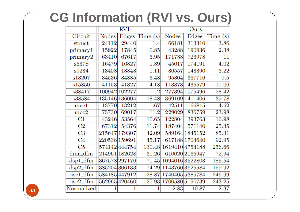## **CG Information (RVI vs. Ours)**

|                     |               | RVI           |         |                        | Ours           |          |
|---------------------|---------------|---------------|---------|------------------------|----------------|----------|
| Circuit             | <b>Nodes</b>  | Edges         | Time(s) | <b>Nodes</b>           | Edges          | Time (s) |
| struct              | 24112         | 29440         | 1.4     | 66181                  | 313310         | 3.86     |
| primary1            | 15922         | 17845         | 0.85    | 43288                  | 190936         | 2.38     |
| primary2            | 63410         | 67617         | 3.95    | 171738                 | 723978         | 11       |
| s5378               | 16479         | 16827         | 1.39    | 45017                  | 174191         | 4.02     |
| s9234               | 13408         | 13843         | 1.11    | 36557                  | 143390         | 3.22     |
| s13207              | 34536         | 34885         | 3.48    | 95304                  | 367716         | 9.5      |
| s15850              | 41153         | 41327         | 4.18    | 113373                 | 435579         | 11.06    |
| s38417              |               | 100942 102277 | 11.2    |                        | 277394 1075496 | 28.42    |
| s38584              |               | 135146 136004 | 18.48   |                        | 369109 1411406 | 39.78    |
| mcc1                | 13770         | 13212         | 1.67    | 42511                  | 166815         | 4.62     |
| mcc2                | 75730         | 69017         | 11.2    | 229029                 | 836759         | 23.98    |
| $\overline{\rm C1}$ | 43246         | 53564         | 10.65   | 122804                 | 393763         | 16.98    |
| C <sub>2</sub>      | 67312         | 54376         | 11.74   | 187404                 | 571140         | 25.35    |
| C3                  |               | 215647 179307 | 42.09   |                        | 589164 1845152 | 85.31    |
| C4                  | 220538 159691 |               | 45.17   |                        | 617188 1704640 | 92.95    |
| C5                  |               | 574142444754  |         | 130.48 1619410 4754188 |                | 256.66   |
| dma_dfm             |               | 214961 182628 | 31.26   |                        | 610020 2065947 | 72.94    |
| $dsp1_f$            |               | 367578 297176 |         | 71.45  1094016 3522803 |                | 185.54   |
| $dsp2_fdm$          |               | 385204 306133 |         | 74.29 143760 3625584   |                | 159.92   |
| risc1_dfm           |               | 584185 447912 |         | 128.87 1740405 5385784 |                | 246.99   |
| risc2_dfm           | 562965420460  |               |         | 127.93 1700580 5190739 |                | 243.25   |
| Normalized          |               |               | 1       | 2.83                   | 10.87          | 2.37     |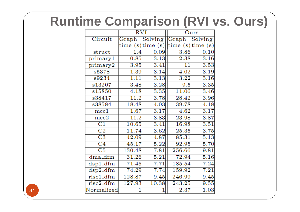## **Runtime Comparison (RVI vs. Ours)**

|                        | $\overline{\mathrm{RVI}}$ |                         |                                                                         | Ours              |
|------------------------|---------------------------|-------------------------|-------------------------------------------------------------------------|-------------------|
| Circuit                | Graph                     | $\vert$ Solving $\vert$ | Graph                                                                   | Solving           |
|                        |                           | time $(s)$ time $(s)$   | $\left  \text{time } (\text{s}) \right $ time $\left( \text{s} \right)$ |                   |
| struct                 | 1.4                       | 0.09                    | 3.86                                                                    | 0.10              |
| primary1               | 0.85                      | 3.13                    | 2.38                                                                    | 3.16              |
| primary2               | 3.95                      | 3.41                    | 11                                                                      | 3.53              |
| s5378                  | 1.39                      | 3.14                    | 4.02                                                                    | 3.19              |
| s9234                  | 1.11                      | 3.13                    | 3.22                                                                    | 3.16              |
| s13207                 | 3.48                      | 3.28                    | 9.5                                                                     | 3.35              |
| s15850                 | 4.18                      | 3.35                    | 11.06                                                                   | 3.46              |
| s38417                 | 11.2                      | 3.78                    | 28.42                                                                   | 3.96              |
| s38584                 | 18.48                     | 4.03                    | 39.78                                                                   | 4.18              |
| mcc1                   | 1.67                      | 3.17                    | 4.62                                                                    | 3.17              |
| mcc2                   | 11.2                      | 3.83                    | 23.98                                                                   | 3.87              |
| $_{\rm C1}$            | 10.65                     | 3.41                    | 16.98                                                                   | 3.51              |
| C2                     | 11.74                     | 3.62                    | 25.35                                                                   | 3.75              |
| $\overline{\text{C3}}$ | 42.09                     | 4.87                    | 85.31                                                                   | 5.13              |
| $\overline{\rm C4}$    | 45.17                     | 5.22                    | 92.95                                                                   | 5.70              |
| $\overline{\text{C5}}$ | 130.48                    | 7.81                    | 256.66                                                                  | 9.81              |
| dma_dfm                | 31.26                     | 5.21                    | 72.94                                                                   | $5.\overline{16}$ |
| $dsp1_dfm$             | 71.45                     | 7.71                    | 185.54                                                                  | 7.24              |
| $dsp2_dfm$             | 74.29                     | 7.74                    | 159.92                                                                  | 7.21              |
| risc1_dfm              | 128.87                    | 9.45                    | 246.99                                                                  | 9.45              |
| risc2_dfm              | 127.93                    | 10.38                   | 243.25                                                                  | 9.55              |
| Normalized             | 1                         |                         | 2.37                                                                    | 1.03              |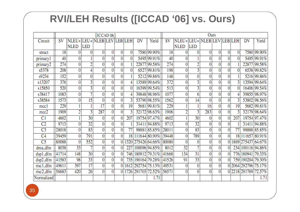#### **RVI/LEH Results ([ICCAD '06] vs. Ours)**

|                         |                  | [ICCAD 06]                  |                 |                 |                |                |                 |    |                            | Ours             |                             |                           |                |                |                |                 |            |                        |
|-------------------------|------------------|-----------------------------|-----------------|-----------------|----------------|----------------|-----------------|----|----------------------------|------------------|-----------------------------|---------------------------|----------------|----------------|----------------|-----------------|------------|------------------------|
| Circuit                 | SV               | NLEU+ LEU+ NLEB LEV LEB LEH |                 |                 |                |                |                 | DV | Yield                      | SV               | NLEU+ LEU+ NLEB LEV LEB LEH |                           |                |                |                |                 | DV         | Yield                  |
|                         |                  | <b>NLED</b>                 | <b>LED</b>      |                 |                |                |                 |    |                            |                  | <b>NLED</b>                 | <b>LED</b>                |                |                |                |                 |            |                        |
| struct                  | 18               | 0                           | 0               | 0               | $\overline{0}$ | $\overline{0}$ | 0               |    | 7580 99.90%                | 18               | 0                           | 0                         | 0              | 0              | 0              | 0               |            | 7580 99.90%            |
| primaryl                | 40               | 0                           |                 | $\overline{0}$  | $\overline{0}$ | $\overline{0}$ | 0               |    | 5495 99.91%                | 40               |                             |                           | 0              | 0              | 0              | 0               |            | 5495 99.91%            |
| primary2                | $\overline{274}$ | 0                           | $\overline{2}$  | $\overline{0}$  | $\overline{0}$ | $\overline{0}$ |                 |    | 22877 99.58%               | 274              | 0                           | $\overline{2}$            | $\overline{0}$ | 0              | 0              |                 |            | 22877 99.58%           |
| s5378                   | 208              | $\overline{0}$              | 4               | $\overline{0}$  | $\overline{0}$ | $\overline{0}$ | 0               |    | 6527 99.81%                | 198              | 0                           | $\overline{3}$            | $\overline{0}$ | 0              | $\overline{0}$ | 0               |            | 6538 99.82%            |
| s9234                   | 152              | $\overline{0}$              | $\overline{0}$  | $\overline{0}$  | $\overline{0}$ | $\overline{0}$ |                 |    | 5212 99.86%                | 148              | $\overline{0}$              | 0                         | $\overline{0}$ | $\overline{0}$ | 0              |                 |            | 5216 99.86%            |
| s13207                  | 376              | $\overline{0}$              | $\overline{3}$  | $\overline{0}$  | $\overline{0}$ | $\overline{0}$ | 4               |    | 13589 99.64%               | 372              | $\overline{0}$              | $\overline{\overline{3}}$ | $\overline{0}$ | $\overline{0}$ | $\overline{0}$ | 3               |            | 13594 99.64%           |
| s15850                  | 520              | $\overline{0}$              | $\overline{3}$  | $\overline{0}$  | $\overline{0}$ | $\overline{0}$ | $\overline{0}$  |    | 16399 99.54%               | 513              | 0                           | $\overline{3}$            | $\overline{0}$ | $\overline{0}$ | $\overline{0}$ | 0               |            | 16406 99.54%           |
| s38417                  | 1083             | $\overline{0}$              | 7               | $\overline{0}$  | $\overline{0}$ | $\overline{0}$ | 4               |    | 39848 98.96%               | 1077             | $\overline{0}$              | 6                         | $\overline{0}$ | $\overline{0}$ | 0              |                 |            | 39855 98.97%           |
| s38584                  | 1573             | 0                           | 15              | $\overline{0}$  | $\overline{0}$ | $\overline{0}$ | 3               |    | 53790 98.55%               | 1562             | 0                           | $\overline{14}$           | $\overline{0}$ |                | $\overline{0}$ | 3               |            | 53802 98.56%           |
| mcc1                    | 229              |                             |                 | $\overline{17}$ | $\overline{0}$ | $\overline{0}$ | 19              |    | 5681 99.81%                | $\overline{229}$ |                             | 1                         | 16             | 0              | $\overline{0}$ | 19              |            | 5682 99.81%            |
| mcc <sub>2</sub>        | 1909             | 2                           | $\overline{3}$  | 287             | $\overline{0}$ | $\overline{0}$ | 3               |    | 32172 98.63%               | 1906             | $\overline{2}$              | $\overline{3}$            | 283            | $\overline{0}$ | $\overline{0}$ | 3               |            | 32179 98.64%           |
| C <sub>1</sub>          | 4602             |                             | $\overline{30}$ | $\overline{0}$  | $\overline{0}$ | $\overline{0}$ | 207             |    | 19754 97.47%               | 4602             |                             | 30                        | 0              | 0              | 0              | 207             |            | 19754 97.47%           |
| $\overline{C2}$         | 9713             | $\overline{0}$              | $\overline{32}$ | 0               | $\overline{0}$ | $\overline{0}$ |                 |    | 31411 94.88%               | 9713             | 0                           | $\overline{32}$           | $\overline{0}$ | 0              | $\overline{0}$ |                 |            | 31411 94.88%           |
| $\overline{C3}$         | 28018            | $\overline{0}$              | $\overline{83}$ | $\overline{0}$  | $\overline{0}$ | $\overline{0}$ | $\overline{77}$ |    | 98881 85.85%               | 28011            | 0                           | $\overline{83}$           | $\overline{0}$ | $\overline{0}$ | $\overline{0}$ | $\overline{77}$ |            | 98888 85.85%           |
| C <sub>4</sub>          | 39459            | $\overline{0}$              | 791             | 0               | $\overline{0}$ | $\overline{0}$ |                 |    | 18 111644 80.90%           | 39448            | 0                           | 789                       | $\overline{0}$ | 0              | $\overline{0}$ | 18              |            | 111657 80.91%          |
| $\overline{C5}$         | 80088            | $\overline{0}$              | 552             | $\overline{0}$  | $\overline{0}$ | $\overline{0}$ |                 |    | 1320 275426 64.66% 80080   |                  | $\overline{0}$              | $\overline{0}$            | $\overline{0}$ | $\overline{0}$ | $\overline{0}$ |                 |            | 1869 275437 64.67%     |
| dma_dfm                 | 8038             | $\overline{33}$             | 7               | $\overline{0}$  | $\overline{0}$ | $\overline{0}$ | 227             |    | 100096 94.85%              | 8012             | $\overline{32}$             | 7                         | $\overline{0}$ | 0              | 0              |                 |            | 234 100116 94.86%      |
| dsp1_dfm                | 41714            | 148                         | 30              | 0               | $\overline{0}$ | $\overline{0}$ |                 |    | 746 1809 12 79.31% 41668   |                  | 134                         | $\overline{31}$           | $\overline{0}$ | $\overline{0}$ | $\overline{0}$ |                 | 776 180941 | 79.33%                 |
| dsp2_dfm                | 41583            | 98                          | $\overline{33}$ | 0               | $\overline{0}$ | $\overline{0}$ |                 |    | 735 190164 79.28% 41526    |                  | 91                          | $\overline{33}$           | $\overline{0}$ | $\overline{0}$ | 0              |                 | 759 190204 | 79.30%                 |
| $risc1$ <sub>-dfm</sub> | 49611            | 397                         | $\overline{17}$ | $\overline{0}$  | $\overline{0}$ |                |                 |    | 0 1612 292754 75.13% 49531 |                  | 0                           | $\overline{0}$            | $\overline{0}$ | 0              |                |                 |            | 0 2064 292796 75.17%   |
| risc2_dfm               | 56683            | 420                         | 26              | $\overline{0}$  | $\overline{0}$ |                |                 |    | 0 1726 291703 72.52% 56571 |                  | 0                           | $\overline{0}$            | $\overline{0}$ | $\overline{0}$ |                |                 |            | 0 22 18 29 1769 72.57% |
| Normalized              |                  |                             |                 |                 |                |                |                 |    | 1.71                       |                  |                             |                           |                |                |                |                 |            | 1.71                   |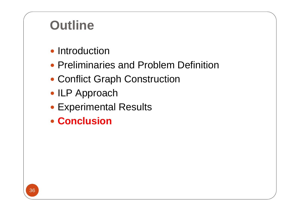## **Outline**

- Introduction
- Preliminaries and Problem Definition
- Conflict Graph Construction
- ILP Approach
- Experimental Results
- **Conclusion**